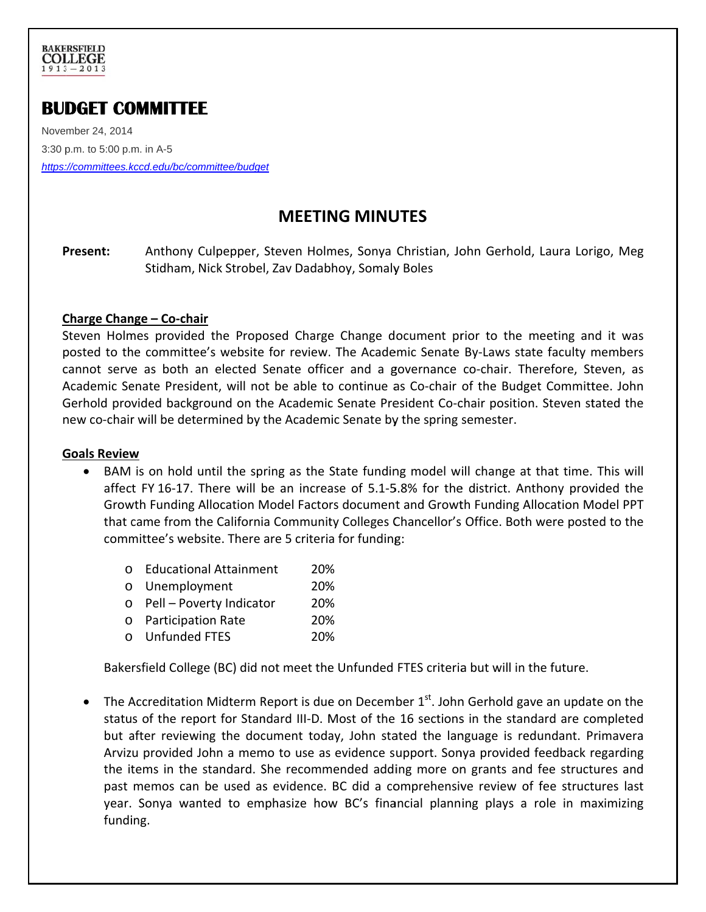

# **BUDGET COMMITTEE**

Nove mber 24, 2014 November 24, 2014<br>3:30 p.m. to 5:00 p.m. in A-5 *https: ://committees.k kccd.edu/bc/co mmittee/budge et*

## **MEETING MINUTES**

**P Present:** Anthony Culpepper, Steven Holmes, Sonya Christian, John Gerhold, Laura Lorigo, Meg Stidham, Nick Strobel, Zav Dadabhoy, Somaly Boles

#### **C Charge Chan nge – Co‐cha air**

Steven Holmes provided the Proposed Charge Change document prior to the meeting and it was posted to the committee's website for review. The Academic Senate By-Laws state faculty members cannot serve as both an elected Senate officer and a governance co-chair. Therefore, Steven, as Academic Senate President, will not be able to continue as Co-chair of the Budget Committee. John Gerhold provided background on the Academic Senate President Co-chair position. Steven stated the new co-chair will be determined by the Academic Senate by the spring semester.

#### **G Goals Review w**

- BAM is on hold until the spring as the State funding model will change at that time. This will affect FY 16-17. There will be an increase of 5.1-5.8% for the district. Anthony provided the Growth Funding Allocation Model Factors document and Growth Funding Allocation Model PPT that came from the California Community Colleges Chancellor's Office. Both were posted to the committee's website. There are 5 criteria for funding:
	- o Educational Attainment 20%
	- o Unemployment 20%
	- o Pell Poverty Indicat or 20%
	- o Participation Rate 20%
	- o Unfunded d FTES 20%

O Educational Attainment<br>
O Unemployment<br>
O Pell – Poverty Indicator<br>
O Participation Rate<br>
O Unfunded FTES<br>
O Unfunded FTES<br>
Bakersfield College (BC) did not meet the Unfunded FTES criteria but will in the future.

• The Accreditation Midterm Report is due on December  $1<sup>st</sup>$ . John Gerhold gave an update on the status of the report for Standard III-D. Most of the 16 sections in the standard are completed but after reviewing the document today, John stated the language is redundant. Primavera Arvizu provided John a memo to use as evidence support. Sonya provided feedback regarding the items in the standard. She recommended adding more on grants and fee structures and past memos can be used as evidence. BC did a comprehensive review of fee structures last year. Sonya wanted to emphasize how BC's financial planning plays a role in maximizing funding.